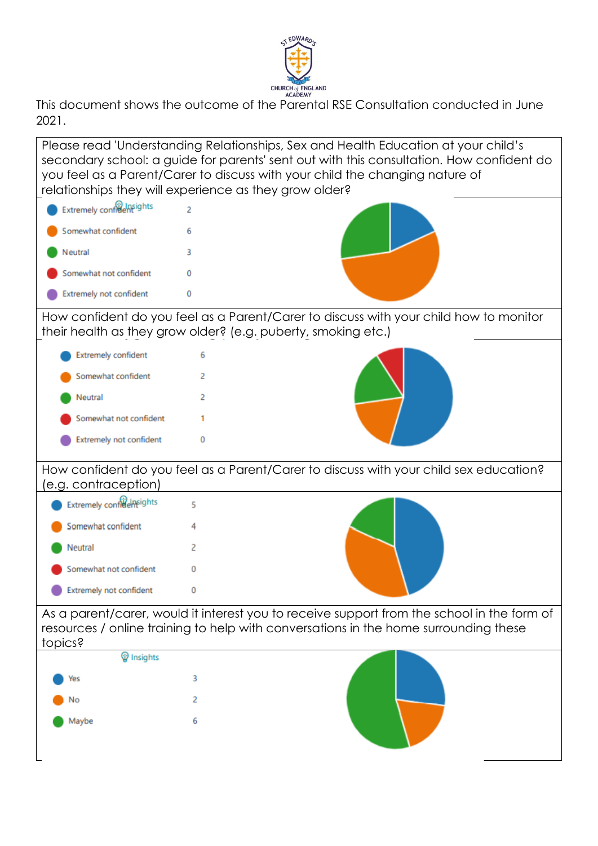

This document shows the outcome of the Parental RSE Consultation conducted in June 2021.

Please read 'Understanding Relationships, Sex and Health Education at your child's secondary school: a guide for parents' sent out with this consultation. How confident do you feel as a Parent/Carer to discuss with your child the changing nature of relationships they will experience as they grow older? Extremely confident ights  $\overline{2}$ Somewhat confident 6 Neutral  $\overline{a}$ Somewhat not confident  $\Omega$ **Extremely not confident**  $\Omega$ How confident do you feel as a Parent/Carer to discuss with your child how to monitor their health as they grow older? (e.g. puberty, smoking etc.) **Extremely confident** 6 Somewhat confident  $\overline{2}$ Neutral  $\overline{2}$ Somewhat not confident -1 **Extremely not confident**  $\mathbf 0$ How confident do you feel as a Parent/Carer to discuss with your child sex education? (e.g. contraception) **Extremely confraeneights**  $\overline{\mathbf{5}}$ Somewhat confident  $\overline{4}$ **Neutral**  $\overline{2}$ Somewhat not confident  $\Omega$ **Extremely not confident**  $\mathbf{0}$ As a parent/carer, would it interest you to receive support from the school in the form of resources / online training to help with conversations in the home surrounding these topics?*W* Insights 3 Yes  $\overline{2}$ No Maybe 6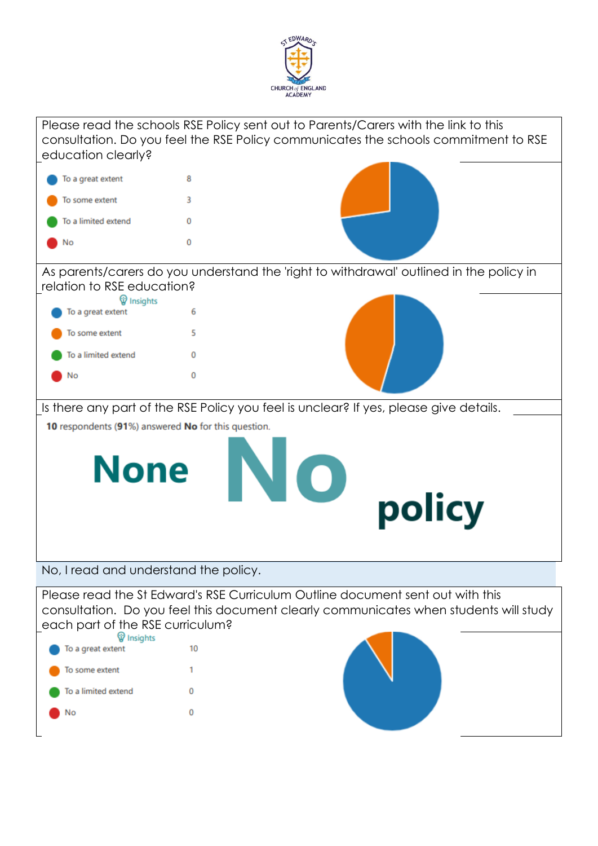

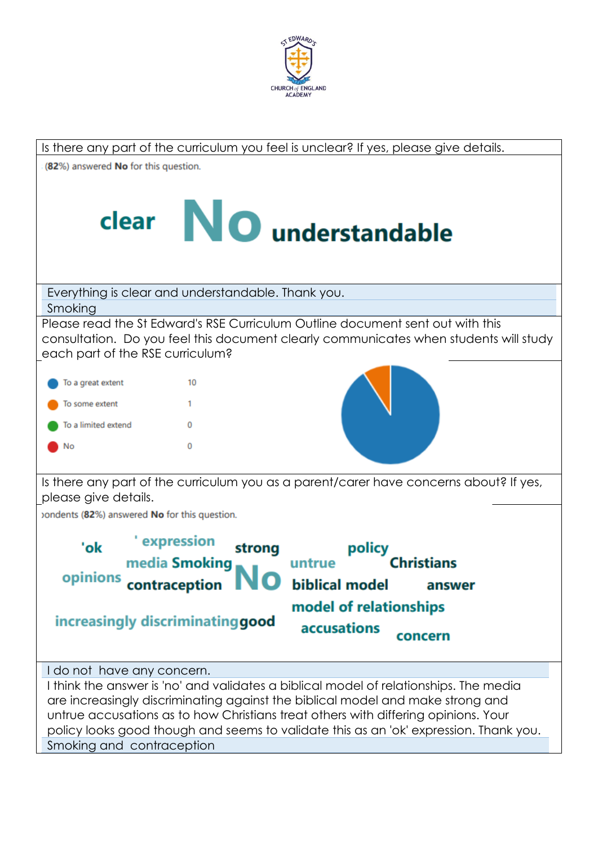

| Is there any part of the curriculum you feel is unclear? If yes, please give details.                                                                                                                                                                                                                                                                                                                             |
|-------------------------------------------------------------------------------------------------------------------------------------------------------------------------------------------------------------------------------------------------------------------------------------------------------------------------------------------------------------------------------------------------------------------|
| (82%) answered No for this question.                                                                                                                                                                                                                                                                                                                                                                              |
| clear NO understandable                                                                                                                                                                                                                                                                                                                                                                                           |
| Everything is clear and understandable. Thank you.                                                                                                                                                                                                                                                                                                                                                                |
| Smoking                                                                                                                                                                                                                                                                                                                                                                                                           |
| Please read the St Edward's RSE Curriculum Outline document sent out with this<br>consultation. Do you feel this document clearly communicates when students will study<br>each part of the RSE curriculum?                                                                                                                                                                                                       |
| To a great extent<br>10                                                                                                                                                                                                                                                                                                                                                                                           |
| To some extent<br>1.                                                                                                                                                                                                                                                                                                                                                                                              |
| To a limited extend<br>0                                                                                                                                                                                                                                                                                                                                                                                          |
| 0<br>No                                                                                                                                                                                                                                                                                                                                                                                                           |
| Is there any part of the curriculum you as a parent/carer have concerns about? If yes,<br>please give details.                                                                                                                                                                                                                                                                                                    |
| ondents (82%) answered No for this question.                                                                                                                                                                                                                                                                                                                                                                      |
| ' expression<br>'ok<br>strong<br>policy<br>media Smoking<br><b>Christians</b><br>untrue<br>opinions contraception IV<br>biblical model answer<br>model of relationships<br>increasingly discriminating good<br><b>accusations</b><br>concern                                                                                                                                                                      |
| I do not have any concern.<br>I think the answer is 'no' and validates a biblical model of relationships. The media<br>are increasingly discriminating against the biblical model and make strong and<br>untrue accusations as to how Christians treat others with differing opinions. Your<br>policy looks good though and seems to validate this as an 'ok' expression. Thank you.<br>Smoking and contraception |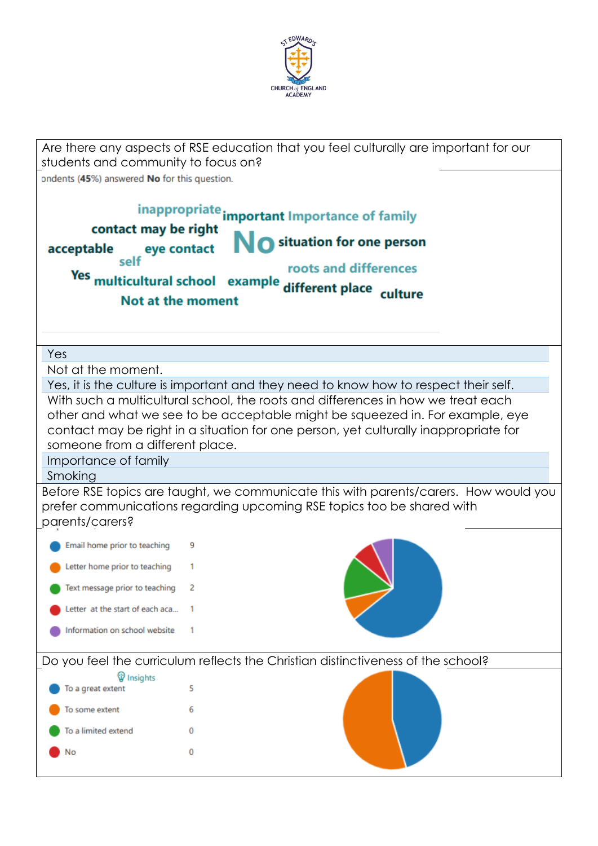